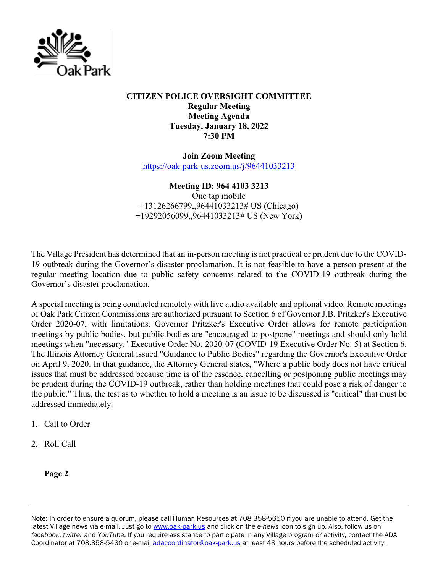

## **CITIZEN POLICE OVERSIGHT COMMITTEE Regular Meeting Meeting Agenda Tuesday, January 18, 2022 7:30 PM**

**Join Zoom Meeting** <https://oak-park-us.zoom.us/j/96441033213>

## **Meeting ID: 964 4103 3213**

One tap mobile +13126266799,,96441033213# US (Chicago) +19292056099,,96441033213# US (New York)

The Village President has determined that an in-person meeting is not practical or prudent due to the COVID-19 outbreak during the Governor's disaster proclamation. It is not feasible to have a person present at the regular meeting location due to public safety concerns related to the COVID-19 outbreak during the Governor's disaster proclamation.

A special meeting is being conducted remotely with live audio available and optional video. Remote meetings of Oak Park Citizen Commissions are authorized pursuant to Section 6 of Governor J.B. Pritzker's Executive Order 2020-07, with limitations. Governor Pritzker's Executive Order allows for remote participation meetings by public bodies, but public bodies are ''encouraged to postpone" meetings and should only hold meetings when "necessary." Executive Order No. 2020-07 (COVID-19 Executive Order No. 5) at Section 6. The Illinois Attorney General issued "Guidance to Public Bodies" regarding the Governor's Executive Order on April 9, 2020. In that guidance, the Attorney General states, "Where a public body does not have critical issues that must be addressed because time is of the essence, cancelling or postponing public meetings may be prudent during the COVID-19 outbreak, rather than holding meetings that could pose a risk of danger to the public." Thus, the test as to whether to hold a meeting is an issue to be discussed is "critical" that must be addressed immediately.

- 1. Call to Order
- 2. Roll Call

**Page 2**

Note: In order to ensure a quorum, please call Human Resources at 708 358-5650 if you are unable to attend. Get the latest Village news via e-mail. Just go to [www.oak-park.us](http://www.oak-park.us/) and click on the *e-news* icon to sign up. Also, follow us on *facebook*, *twitter* and *YouTube*. If you require assistance to participate in any Village program or activity, contact the ADA Coordinator at 708.358-5430 or e-mail [adacoordinator@oak-park.us](mailto:adacoordinator@oak-park.us) at least 48 hours before the scheduled activity.